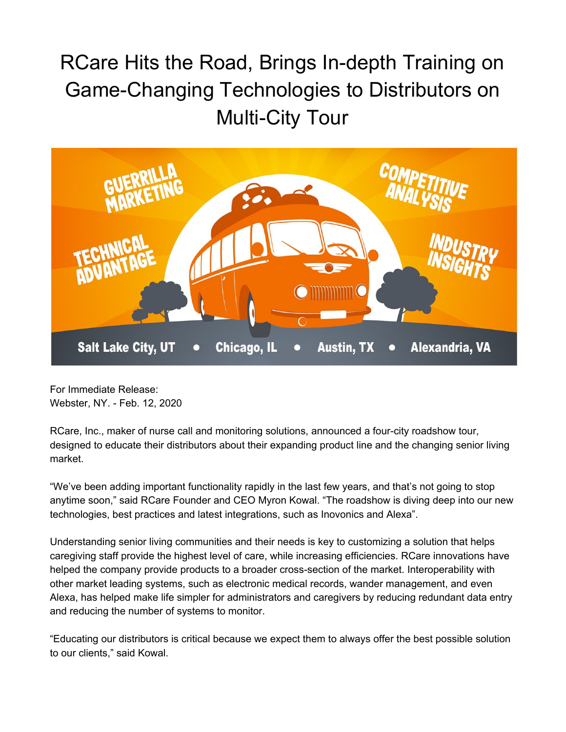## RCare Hits the Road, Brings In-depth Training on Game-Changing Technologies to Distributors on Multi-City Tour



For Immediate Release: Webster, NY. - Feb. 12, 2020

RCare, Inc., maker of nurse call and monitoring solutions, announced a four-city roadshow tour, designed to educate their distributors about their expanding product line and the changing senior living market.

"We've been adding important functionality rapidly in the last few years, and that's not going to stop anytime soon," said RCare Founder and CEO Myron Kowal. "The roadshow is diving deep into our new technologies, best practices and latest integrations, such as Inovonics and Alexa".

Understanding senior living communities and their needs is key to customizing a solution that helps caregiving staff provide the highest level of care, while increasing efficiencies. RCare innovations have helped the company provide products to a broader cross-section of the market. Interoperability with other market leading systems, such as electronic medical records, wander management, and even Alexa, has helped make life simpler for administrators and caregivers by reducing redundant data entry and reducing the number of systems to monitor.

"Educating our distributors is critical because we expect them to always offer the best possible solution to our clients," said Kowal.